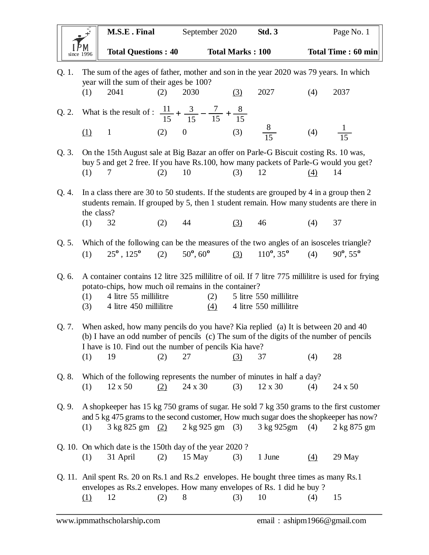| $\mathbf{r}$                                 | M.S.E. Final               | September 2020          | Std. 3 | Page No. 1         |
|----------------------------------------------|----------------------------|-------------------------|--------|--------------------|
| $\left \overrightarrow{P_{\text{M}}}\right $ | <b>Total Questions: 40</b> | <b>Total Marks: 100</b> |        | Total Time: 60 min |

| The sum of the ages of father, mother and son in the year 2020 was 79 years. In which<br>Q. 1.<br>year will the sum of their ages be 100? |                                                                                                                                                                                                                                       |                                                                                                                                                                                       |     |                                     |     |                                                  |                    |                          |  |
|-------------------------------------------------------------------------------------------------------------------------------------------|---------------------------------------------------------------------------------------------------------------------------------------------------------------------------------------------------------------------------------------|---------------------------------------------------------------------------------------------------------------------------------------------------------------------------------------|-----|-------------------------------------|-----|--------------------------------------------------|--------------------|--------------------------|--|
|                                                                                                                                           | (1)                                                                                                                                                                                                                                   | 2041                                                                                                                                                                                  | (2) | 2030                                | (3) | 2027                                             | (4)                | 2037                     |  |
|                                                                                                                                           |                                                                                                                                                                                                                                       | Q. 2. What is the result of : $\frac{11}{15} + \frac{3}{15} - \frac{7}{15} + \frac{8}{15}$                                                                                            |     |                                     |     |                                                  |                    |                          |  |
|                                                                                                                                           | (1)                                                                                                                                                                                                                                   | $\mathbf{1}$                                                                                                                                                                          |     | (2) 0 (3) $\frac{8}{15}$            |     |                                                  | (4) $\frac{1}{15}$ |                          |  |
| Q. 3.                                                                                                                                     | (1)                                                                                                                                                                                                                                   | On the 15th August sale at Big Bazar an offer on Parle-G Biscuit costing Rs. 10 was,<br>buy 5 and get 2 free. If you have Rs.100, how many packets of Parle-G would you get?<br>7     | (2) | 10                                  | (3) | 12                                               | $\underline{(4)}$  | 14                       |  |
|                                                                                                                                           |                                                                                                                                                                                                                                       |                                                                                                                                                                                       |     |                                     |     |                                                  |                    |                          |  |
| Q. 4.                                                                                                                                     | the class?                                                                                                                                                                                                                            | In a class there are 30 to 50 students. If the students are grouped by 4 in a group then 2<br>students remain. If grouped by 5, then 1 student remain. How many students are there in |     |                                     |     |                                                  |                    |                          |  |
|                                                                                                                                           | (1)                                                                                                                                                                                                                                   | 32                                                                                                                                                                                    | (2) | 44                                  | (3) | 46                                               | (4)                | 37                       |  |
| Q. 5.                                                                                                                                     |                                                                                                                                                                                                                                       | Which of the following can be the measures of the two angles of an isosceles triangle?                                                                                                |     |                                     |     |                                                  |                    |                          |  |
|                                                                                                                                           | (1)                                                                                                                                                                                                                                   | $25^{\circ}$ , $125^{\circ}$                                                                                                                                                          | (2) | $50^{\circ}, 60^{\circ}$            | (3) | $110^{\circ}, 35^{\circ}$                        | (4)                | $90^{\circ}, 55^{\circ}$ |  |
| Q. 6.                                                                                                                                     |                                                                                                                                                                                                                                       | A container contains 12 litre 325 millilitre of oil. If 7 litre 775 millilitre is used for frying<br>potato-chips, how much oil remains in the container?                             |     |                                     |     |                                                  |                    |                          |  |
|                                                                                                                                           | (1)<br>(3)                                                                                                                                                                                                                            | 4 litre 55 millilitre<br>4 litre 450 millilitre                                                                                                                                       |     | (2)<br>(4)                          |     | 5 litre 550 millilitre<br>4 litre 550 millilitre |                    |                          |  |
| Q. 7.                                                                                                                                     | When asked, how many pencils do you have? Kia replied (a) It is between 20 and 40<br>(b) I have an odd number of pencils (c) The sum of the digits of the number of pencils<br>I have is 10. Find out the number of pencils Kia have? |                                                                                                                                                                                       |     |                                     |     |                                                  |                    |                          |  |
|                                                                                                                                           | (1)                                                                                                                                                                                                                                   | 19                                                                                                                                                                                    | (2) | 27                                  | (3) | 37                                               | (4)                | 28                       |  |
| Q. 8.                                                                                                                                     |                                                                                                                                                                                                                                       | Which of the following represents the number of minutes in half a day?                                                                                                                |     |                                     |     |                                                  |                    |                          |  |
|                                                                                                                                           | (1)                                                                                                                                                                                                                                   | 12 x 50                                                                                                                                                                               | (2) | 24 x 30                             | (3) | 12 x 30                                          | (4)                | 24 x 50                  |  |
| Q.9.                                                                                                                                      |                                                                                                                                                                                                                                       | A shopkeeper has 15 kg 750 grams of sugar. He sold 7 kg 350 grams to the first customer<br>and 5 kg 475 grams to the second customer, How much sugar does the shopkeeper has now?     |     |                                     |     |                                                  |                    |                          |  |
|                                                                                                                                           | (1)                                                                                                                                                                                                                                   | 3 kg 825 gm (2)                                                                                                                                                                       |     | $2 \text{ kg } 925 \text{ gm } (3)$ |     | 3 kg 925gm                                       | (4)                | 2 kg 875 gm              |  |
|                                                                                                                                           |                                                                                                                                                                                                                                       | Q. 10. On which date is the 150th day of the year 2020?                                                                                                                               |     |                                     |     |                                                  |                    |                          |  |
|                                                                                                                                           | (1)                                                                                                                                                                                                                                   | 31 April                                                                                                                                                                              | (2) | 15 May                              | (3) | 1 June                                           | (4)                | 29 May                   |  |
|                                                                                                                                           | Q. 11. Anil spent Rs. 20 on Rs. 1 and Rs. 2 envelopes. He bought three times as many Rs. 1<br>envelopes as Rs.2 envelopes. How many envelopes of Rs. 1 did he buy?                                                                    |                                                                                                                                                                                       |     |                                     |     |                                                  |                    |                          |  |
|                                                                                                                                           | (1)                                                                                                                                                                                                                                   | 12                                                                                                                                                                                    | (2) | 8                                   | (3) | 10                                               | (4)                | 15                       |  |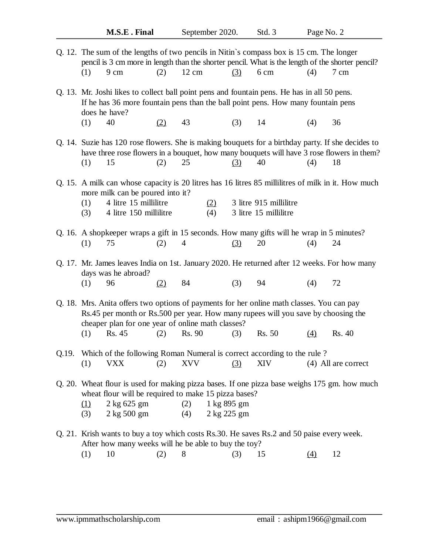|                                                                                                                                                                                                                                     | (1)<br>9 cm                                                                                                                                                                                      | Q. 12. The sum of the lengths of two pencils in Nitin's compass box is 15 cm. The longer<br>(2)                                                     | 12 cm          |             | $\left(3\right)$ | 6 cm                                            | (4)      | pencil is 3 cm more in length than the shorter pencil. What is the length of the shorter pencil?<br>7 cm                                                                                             |  |  |
|-------------------------------------------------------------------------------------------------------------------------------------------------------------------------------------------------------------------------------------|--------------------------------------------------------------------------------------------------------------------------------------------------------------------------------------------------|-----------------------------------------------------------------------------------------------------------------------------------------------------|----------------|-------------|------------------|-------------------------------------------------|----------|------------------------------------------------------------------------------------------------------------------------------------------------------------------------------------------------------|--|--|
|                                                                                                                                                                                                                                     | Q. 13. Mr. Joshi likes to collect ball point pens and fountain pens. He has in all 50 pens.<br>If he has 36 more fountain pens than the ball point pens. How many fountain pens<br>does he have? |                                                                                                                                                     |                |             |                  |                                                 |          |                                                                                                                                                                                                      |  |  |
|                                                                                                                                                                                                                                     | 40<br>(1)                                                                                                                                                                                        | (2)                                                                                                                                                 | 43             |             | (3)              | 14                                              | (4)      | 36                                                                                                                                                                                                   |  |  |
|                                                                                                                                                                                                                                     | 15<br>(1)                                                                                                                                                                                        | (2)                                                                                                                                                 | 25             |             | (3)              | 40                                              | (4)      | Q. 14. Suzie has 120 rose flowers. She is making bouquets for a birthday party. If she decides to<br>have three rose flowers in a bouquet, how many bouquets will have 3 rose flowers in them?<br>18 |  |  |
|                                                                                                                                                                                                                                     | Q. 15. A milk can whose capacity is 20 litres has 16 litres 85 millilitres of milk in it. How much                                                                                               |                                                                                                                                                     |                |             |                  |                                                 |          |                                                                                                                                                                                                      |  |  |
|                                                                                                                                                                                                                                     | (1)<br>(3)                                                                                                                                                                                       | more milk can be poured into it?<br>4 litre 15 millilitre<br>4 litre 150 millilitre                                                                 |                | (2)<br>(4)  |                  | 3 litre 915 millilitre<br>3 litre 15 millilitre |          |                                                                                                                                                                                                      |  |  |
|                                                                                                                                                                                                                                     | 75<br>(1)                                                                                                                                                                                        | Q. 16. A shopkeeper wraps a gift in 15 seconds. How many gifts will he wrap in 5 minutes?<br>(2)                                                    | $\overline{4}$ |             | (3)              | 20                                              | (4)      | 24                                                                                                                                                                                                   |  |  |
|                                                                                                                                                                                                                                     | Q. 17. Mr. James leaves India on 1st. January 2020. He returned after 12 weeks. For how many<br>days was he abroad?                                                                              |                                                                                                                                                     |                |             |                  |                                                 |          |                                                                                                                                                                                                      |  |  |
|                                                                                                                                                                                                                                     | (1)<br>96                                                                                                                                                                                        | (2)                                                                                                                                                 | 84             |             | (3)              | 94                                              | (4)      | 72                                                                                                                                                                                                   |  |  |
| Q. 18. Mrs. Anita offers two options of payments for her online math classes. You can pay<br>Rs.45 per month or Rs.500 per year. How many rupees will you save by choosing the<br>cheaper plan for one year of online math classes? |                                                                                                                                                                                                  |                                                                                                                                                     |                |             |                  |                                                 |          |                                                                                                                                                                                                      |  |  |
|                                                                                                                                                                                                                                     | Rs. 45<br>(1)                                                                                                                                                                                    | (2)                                                                                                                                                 | Rs. 90         |             | (3)              | Rs. 50                                          | $\Delta$ | Rs. 40                                                                                                                                                                                               |  |  |
| Q.19.                                                                                                                                                                                                                               |                                                                                                                                                                                                  | Which of the following Roman Numeral is correct according to the rule?                                                                              |                |             |                  |                                                 |          |                                                                                                                                                                                                      |  |  |
|                                                                                                                                                                                                                                     | VXX<br>(1)                                                                                                                                                                                       | (2)                                                                                                                                                 | <b>XVV</b>     |             | (3)              | XIV                                             |          | (4) All are correct                                                                                                                                                                                  |  |  |
|                                                                                                                                                                                                                                     | Q. 20. Wheat flour is used for making pizza bases. If one pizza base weighs 175 gm. how much<br>wheat flour will be required to make 15 pizza bases?                                             |                                                                                                                                                     |                |             |                  |                                                 |          |                                                                                                                                                                                                      |  |  |
|                                                                                                                                                                                                                                     | <u>(1)</u>                                                                                                                                                                                       | $2$ kg 625 gm                                                                                                                                       | (2)            | 1 kg 895 gm |                  |                                                 |          |                                                                                                                                                                                                      |  |  |
|                                                                                                                                                                                                                                     | (3)                                                                                                                                                                                              | $2$ kg $500$ gm                                                                                                                                     | (4)            | 2 kg 225 gm |                  |                                                 |          |                                                                                                                                                                                                      |  |  |
|                                                                                                                                                                                                                                     |                                                                                                                                                                                                  | Q. 21. Krish wants to buy a toy which costs Rs. 30. He saves Rs. 2 and 50 paise every week.<br>After how many weeks will he be able to buy the toy? |                |             |                  |                                                 |          |                                                                                                                                                                                                      |  |  |
|                                                                                                                                                                                                                                     | (1)<br>10                                                                                                                                                                                        | (2)                                                                                                                                                 | 8              |             | (3)              | 15                                              | (4)      | 12                                                                                                                                                                                                   |  |  |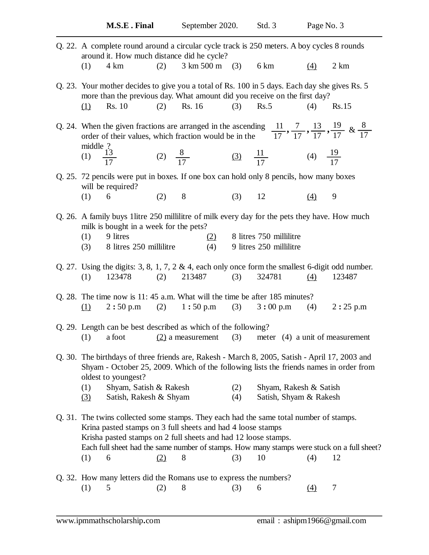| (1)        | 4 km          |                                                                                                           |        |                                                                                                                                                                                  |                                                                                               | (4)                                                                                                                                                                            | 2 km                                                                                                                                                                                                                                                                                                                                                                                                                                                                                                                                                                                                                                                                                                                                                                                                                                                                                                                                                                                                                                                                                                                                                                                                                                                                                                                                                                                                                                                                                                                                                                |
|------------|---------------|-----------------------------------------------------------------------------------------------------------|--------|----------------------------------------------------------------------------------------------------------------------------------------------------------------------------------|-----------------------------------------------------------------------------------------------|--------------------------------------------------------------------------------------------------------------------------------------------------------------------------------|---------------------------------------------------------------------------------------------------------------------------------------------------------------------------------------------------------------------------------------------------------------------------------------------------------------------------------------------------------------------------------------------------------------------------------------------------------------------------------------------------------------------------------------------------------------------------------------------------------------------------------------------------------------------------------------------------------------------------------------------------------------------------------------------------------------------------------------------------------------------------------------------------------------------------------------------------------------------------------------------------------------------------------------------------------------------------------------------------------------------------------------------------------------------------------------------------------------------------------------------------------------------------------------------------------------------------------------------------------------------------------------------------------------------------------------------------------------------------------------------------------------------------------------------------------------------|
|            |               |                                                                                                           |        |                                                                                                                                                                                  |                                                                                               |                                                                                                                                                                                |                                                                                                                                                                                                                                                                                                                                                                                                                                                                                                                                                                                                                                                                                                                                                                                                                                                                                                                                                                                                                                                                                                                                                                                                                                                                                                                                                                                                                                                                                                                                                                     |
| (1)        | <b>Rs.</b> 10 | (2)                                                                                                       | Rs. 16 | (3)                                                                                                                                                                              | Rs.5                                                                                          | (4)                                                                                                                                                                            | Rs.15                                                                                                                                                                                                                                                                                                                                                                                                                                                                                                                                                                                                                                                                                                                                                                                                                                                                                                                                                                                                                                                                                                                                                                                                                                                                                                                                                                                                                                                                                                                                                               |
|            |               |                                                                                                           |        |                                                                                                                                                                                  |                                                                                               |                                                                                                                                                                                |                                                                                                                                                                                                                                                                                                                                                                                                                                                                                                                                                                                                                                                                                                                                                                                                                                                                                                                                                                                                                                                                                                                                                                                                                                                                                                                                                                                                                                                                                                                                                                     |
|            |               |                                                                                                           |        |                                                                                                                                                                                  |                                                                                               |                                                                                                                                                                                |                                                                                                                                                                                                                                                                                                                                                                                                                                                                                                                                                                                                                                                                                                                                                                                                                                                                                                                                                                                                                                                                                                                                                                                                                                                                                                                                                                                                                                                                                                                                                                     |
|            |               |                                                                                                           |        |                                                                                                                                                                                  |                                                                                               |                                                                                                                                                                                |                                                                                                                                                                                                                                                                                                                                                                                                                                                                                                                                                                                                                                                                                                                                                                                                                                                                                                                                                                                                                                                                                                                                                                                                                                                                                                                                                                                                                                                                                                                                                                     |
| (1)        | 6             | (2)                                                                                                       | 8      |                                                                                                                                                                                  | 12                                                                                            | (4)                                                                                                                                                                            | 9                                                                                                                                                                                                                                                                                                                                                                                                                                                                                                                                                                                                                                                                                                                                                                                                                                                                                                                                                                                                                                                                                                                                                                                                                                                                                                                                                                                                                                                                                                                                                                   |
| (1)        | 9 litres      |                                                                                                           |        |                                                                                                                                                                                  |                                                                                               |                                                                                                                                                                                |                                                                                                                                                                                                                                                                                                                                                                                                                                                                                                                                                                                                                                                                                                                                                                                                                                                                                                                                                                                                                                                                                                                                                                                                                                                                                                                                                                                                                                                                                                                                                                     |
|            |               |                                                                                                           |        |                                                                                                                                                                                  |                                                                                               |                                                                                                                                                                                |                                                                                                                                                                                                                                                                                                                                                                                                                                                                                                                                                                                                                                                                                                                                                                                                                                                                                                                                                                                                                                                                                                                                                                                                                                                                                                                                                                                                                                                                                                                                                                     |
| (1)        |               |                                                                                                           |        | (3)                                                                                                                                                                              | 324781                                                                                        | (4)                                                                                                                                                                            | 123487                                                                                                                                                                                                                                                                                                                                                                                                                                                                                                                                                                                                                                                                                                                                                                                                                                                                                                                                                                                                                                                                                                                                                                                                                                                                                                                                                                                                                                                                                                                                                              |
| (1)        |               |                                                                                                           |        |                                                                                                                                                                                  |                                                                                               |                                                                                                                                                                                | $(4)$ 2:25 p.m                                                                                                                                                                                                                                                                                                                                                                                                                                                                                                                                                                                                                                                                                                                                                                                                                                                                                                                                                                                                                                                                                                                                                                                                                                                                                                                                                                                                                                                                                                                                                      |
|            |               |                                                                                                           |        |                                                                                                                                                                                  |                                                                                               |                                                                                                                                                                                |                                                                                                                                                                                                                                                                                                                                                                                                                                                                                                                                                                                                                                                                                                                                                                                                                                                                                                                                                                                                                                                                                                                                                                                                                                                                                                                                                                                                                                                                                                                                                                     |
|            |               |                                                                                                           |        |                                                                                                                                                                                  |                                                                                               |                                                                                                                                                                                |                                                                                                                                                                                                                                                                                                                                                                                                                                                                                                                                                                                                                                                                                                                                                                                                                                                                                                                                                                                                                                                                                                                                                                                                                                                                                                                                                                                                                                                                                                                                                                     |
|            |               |                                                                                                           |        |                                                                                                                                                                                  |                                                                                               |                                                                                                                                                                                |                                                                                                                                                                                                                                                                                                                                                                                                                                                                                                                                                                                                                                                                                                                                                                                                                                                                                                                                                                                                                                                                                                                                                                                                                                                                                                                                                                                                                                                                                                                                                                     |
| (1)<br>(3) |               |                                                                                                           |        | (2)<br>(4)                                                                                                                                                                       |                                                                                               |                                                                                                                                                                                |                                                                                                                                                                                                                                                                                                                                                                                                                                                                                                                                                                                                                                                                                                                                                                                                                                                                                                                                                                                                                                                                                                                                                                                                                                                                                                                                                                                                                                                                                                                                                                     |
|            |               |                                                                                                           |        |                                                                                                                                                                                  |                                                                                               |                                                                                                                                                                                |                                                                                                                                                                                                                                                                                                                                                                                                                                                                                                                                                                                                                                                                                                                                                                                                                                                                                                                                                                                                                                                                                                                                                                                                                                                                                                                                                                                                                                                                                                                                                                     |
| (1)        | 6             | (2)                                                                                                       | 8      | (3)                                                                                                                                                                              | 10                                                                                            | (4)                                                                                                                                                                            | 12                                                                                                                                                                                                                                                                                                                                                                                                                                                                                                                                                                                                                                                                                                                                                                                                                                                                                                                                                                                                                                                                                                                                                                                                                                                                                                                                                                                                                                                                                                                                                                  |
|            | (1)           | middle $\frac{?}{13}$<br>(1) $\frac{13}{17}$<br>will be required?<br>(3)<br>a foot<br>oldest to youngest? |        | (2)<br>milk is bought in a week for the pets?<br>8 litres 250 millilitre<br>(4)<br>$2:50 \text{ p.m}$ (2) $1:50 \text{ p.m}$<br>Shyam, Satish & Rakesh<br>Satish, Rakesh & Shyam | around it. How much distance did he cycle?<br>(2)<br>123478 (2) 213487<br>$(2)$ a measurement | $3 \text{ km } 500 \text{ m}$ (3) 6 km<br>(3)<br>Q. 29. Length can be best described as which of the following?<br>Krina pasted stamps on 3 full sheets and had 4 loose stamps | Q. 22. A complete round around a circular cycle track is 250 meters. A boy cycles 8 rounds<br>Q. 23. Your mother decides to give you a total of Rs. 100 in 5 days. Each day she gives Rs. 5<br>more than the previous day. What amount did you receive on the first day?<br>Q. 24. When the given fractions are arranged in the ascending $\frac{11}{17}$ , $\frac{7}{17}$ , $\frac{13}{17}$ , $\frac{19}{17}$ & $\frac{8}{17}$<br>order of their values, which fraction would be in the<br>(2) $\frac{8}{17}$ (3) $\frac{11}{17}$ (4) $\frac{19}{17}$<br>Q. 25. 72 pencils were put in boxes. If one box can hold only 8 pencils, how many boxes<br>Q. 26. A family buys 1 litre 250 millilitre of milk every day for the pets they have. How much<br>8 litres 750 millilitre<br>9 litres 250 millilitre<br>Q. 27. Using the digits: 3, 8, 1, 7, 2 & 4, each only once form the smallest 6-digit odd number.<br>Q. 28. The time now is 11: 45 a.m. What will the time be after 185 minutes?<br>$(3)$ 3:00 p.m<br>$(3)$ meter $(4)$ a unit of measurement<br>Q. 30. The birthdays of three friends are, Rakesh - March 8, 2005, Satish - April 17, 2003 and<br>Shyam - October 25, 2009. Which of the following lists the friends names in order from<br>Shyam, Rakesh & Satish<br>Satish, Shyam & Rakesh<br>Q. 31. The twins collected some stamps. They each had the same total number of stamps.<br>Krisha pasted stamps on 2 full sheets and had 12 loose stamps.<br>Each full sheet had the same number of stamps. How many stamps were stuck on a full sheet? |